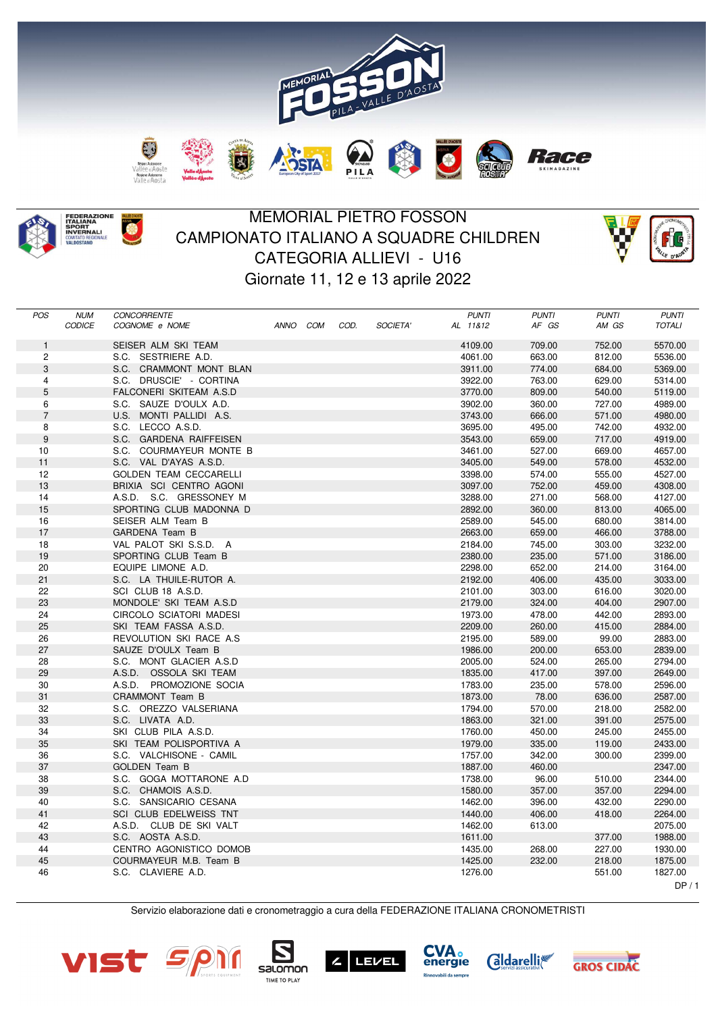



## MEMORIAL PIETRO FOSSON CAMPIONATO ITALIANO A SQUADRE CHILDREN CATEGORIA ALLIEVI - U16 Giornate 11, 12 e 13 aprile 2022



| <b>POS</b>     | <b>NUM</b>    | <b>CONCORRENTE</b>            |      |     |      |          | <b>PUNTI</b> | <b>PUNTI</b> | <b>PUNTI</b> | <b>PUNTI</b>  |
|----------------|---------------|-------------------------------|------|-----|------|----------|--------------|--------------|--------------|---------------|
|                | <b>CODICE</b> | COGNOME e NOME                | ANNO | COM | COD. | SOCIETA' | AL 11&12     | AF GS        | AM GS        | <b>TOTALI</b> |
| $\mathbf{1}$   |               | SEISER ALM SKI TEAM           |      |     |      |          | 4109.00      | 709.00       | 752.00       | 5570.00       |
| $\overline{c}$ |               | S.C. SESTRIERE A.D.           |      |     |      |          | 4061.00      | 663.00       | 812.00       | 5536.00       |
| 3              |               | S.C. CRAMMONT MONT BLAN       |      |     |      |          | 3911.00      | 774.00       | 684.00       | 5369.00       |
| 4              |               | S.C. DRUSCIE' - CORTINA       |      |     |      |          | 3922.00      | 763.00       | 629.00       | 5314.00       |
| 5              |               | FALCONERI SKITEAM A.S.D       |      |     |      |          | 3770.00      | 809.00       |              |               |
|                |               |                               |      |     |      |          |              |              | 540.00       | 5119.00       |
| 6              |               | S.C. SAUZE D'OULX A.D.        |      |     |      |          | 3902.00      | 360.00       | 727.00       | 4989.00       |
| $\overline{7}$ |               | U.S. MONTI PALLIDI A.S.       |      |     |      |          | 3743.00      | 666.00       | 571.00       | 4980.00       |
| 8              |               | S.C. LECCO A.S.D.             |      |     |      |          | 3695.00      | 495.00       | 742.00       | 4932.00       |
| 9              |               | S.C. GARDENA RAIFFEISEN       |      |     |      |          | 3543.00      | 659.00       | 717.00       | 4919.00       |
| 10             |               | S.C. COURMAYEUR MONTE B       |      |     |      |          | 3461.00      | 527.00       | 669.00       | 4657.00       |
| 11             |               | S.C. VAL D'AYAS A.S.D.        |      |     |      |          | 3405.00      | 549.00       | 578.00       | 4532.00       |
| 12             |               | <b>GOLDEN TEAM CECCARELLI</b> |      |     |      |          | 3398.00      | 574.00       | 555.00       | 4527.00       |
| 13             |               | BRIXIA SCI CENTRO AGONI       |      |     |      |          | 3097.00      | 752.00       | 459.00       | 4308.00       |
| 14             |               | A.S.D. S.C. GRESSONEY M       |      |     |      |          | 3288.00      | 271.00       | 568.00       | 4127.00       |
| 15             |               | SPORTING CLUB MADONNA D       |      |     |      |          | 2892.00      | 360.00       | 813.00       | 4065.00       |
| 16             |               | SEISER ALM Team B             |      |     |      |          | 2589.00      | 545.00       | 680.00       | 3814.00       |
| 17             |               | GARDENA Team B                |      |     |      |          | 2663.00      | 659.00       | 466.00       | 3788.00       |
| 18             |               | VAL PALOT SKI S.S.D. A        |      |     |      |          | 2184.00      | 745.00       | 303.00       | 3232.00       |
| 19             |               | SPORTING CLUB Team B          |      |     |      |          | 2380.00      | 235.00       | 571.00       | 3186.00       |
| 20             |               | EQUIPE LIMONE A.D.            |      |     |      |          | 2298.00      | 652.00       | 214.00       | 3164.00       |
| 21             |               | S.C. LA THUILE-RUTOR A.       |      |     |      |          | 2192.00      | 406.00       | 435.00       | 3033.00       |
| 22             |               | SCI CLUB 18 A.S.D.            |      |     |      |          | 2101.00      | 303.00       | 616.00       | 3020.00       |
| 23             |               | MONDOLE' SKI TEAM A.S.D       |      |     |      |          | 2179.00      | 324.00       | 404.00       | 2907.00       |
| 24             |               | CIRCOLO SCIATORI MADESI       |      |     |      |          | 1973.00      | 478.00       | 442.00       | 2893.00       |
| 25             |               | SKI TEAM FASSA A.S.D.         |      |     |      |          | 2209.00      | 260.00       | 415.00       | 2884.00       |
| 26             |               | REVOLUTION SKI RACE A.S.      |      |     |      |          | 2195.00      | 589.00       | 99.00        | 2883.00       |
| 27             |               | SAUZE D'OULX Team B           |      |     |      |          | 1986.00      | 200.00       | 653.00       | 2839.00       |
| 28             |               | S.C. MONT GLACIER A.S.D       |      |     |      |          | 2005.00      | 524.00       | 265.00       | 2794.00       |
| 29             |               | A.S.D. OSSOLA SKI TEAM        |      |     |      |          | 1835.00      | 417.00       | 397.00       | 2649.00       |
| 30             |               | A.S.D. PROMOZIONE SOCIA       |      |     |      |          | 1783.00      | 235.00       | 578.00       | 2596.00       |
| 31             |               | CRAMMONT Team B               |      |     |      |          | 1873.00      | 78.00        | 636.00       | 2587.00       |
| 32             |               | S.C. OREZZO VALSERIANA        |      |     |      |          | 1794.00      | 570.00       | 218.00       | 2582.00       |
| 33             |               | S.C. LIVATA A.D.              |      |     |      |          | 1863.00      | 321.00       | 391.00       | 2575.00       |
| 34             |               | SKI CLUB PILA A.S.D.          |      |     |      |          | 1760.00      | 450.00       | 245.00       | 2455.00       |
| 35             |               | SKI TEAM POLISPORTIVA A       |      |     |      |          | 1979.00      | 335.00       | 119.00       | 2433.00       |
| 36             |               | S.C. VALCHISONE - CAMIL       |      |     |      |          | 1757.00      | 342.00       | 300.00       | 2399.00       |
| 37             |               | <b>GOLDEN Team B</b>          |      |     |      |          | 1887.00      | 460.00       |              | 2347.00       |
| 38             |               | S.C. GOGA MOTTARONE A.D       |      |     |      |          | 1738.00      | 96.00        | 510.00       | 2344.00       |
| 39             |               | S.C. CHAMOIS A.S.D.           |      |     |      |          | 1580.00      | 357.00       | 357.00       | 2294.00       |
| 40             |               | S.C. SANSICARIO CESANA        |      |     |      |          | 1462.00      | 396.00       | 432.00       | 2290.00       |
| 41             |               | SCI CLUB EDELWEISS TNT        |      |     |      |          | 1440.00      | 406.00       | 418.00       | 2264.00       |
| 42             |               | A.S.D. CLUB DE SKI VALT       |      |     |      |          | 1462.00      | 613.00       |              | 2075.00       |
| 43             |               | S.C. AOSTA A.S.D.             |      |     |      |          | 1611.00      |              | 377.00       | 1988.00       |
| 44             |               | CENTRO AGONISTICO DOMOB       |      |     |      |          | 1435.00      | 268.00       | 227.00       | 1930.00       |
| 45             |               | COURMAYEUR M.B. Team B        |      |     |      |          | 1425.00      | 232.00       | 218.00       | 1875.00       |
| 46             |               | S.C. CLAVIERE A.D.            |      |     |      |          | 1276.00      |              | 551.00       | 1827.00       |
|                |               |                               |      |     |      |          |              |              |              | DP/1          |
|                |               |                               |      |     |      |          |              |              |              |               |

Servizio elaborazione dati e cronometraggio a cura della FEDERAZIONE ITALIANA CRONOMETRISTI